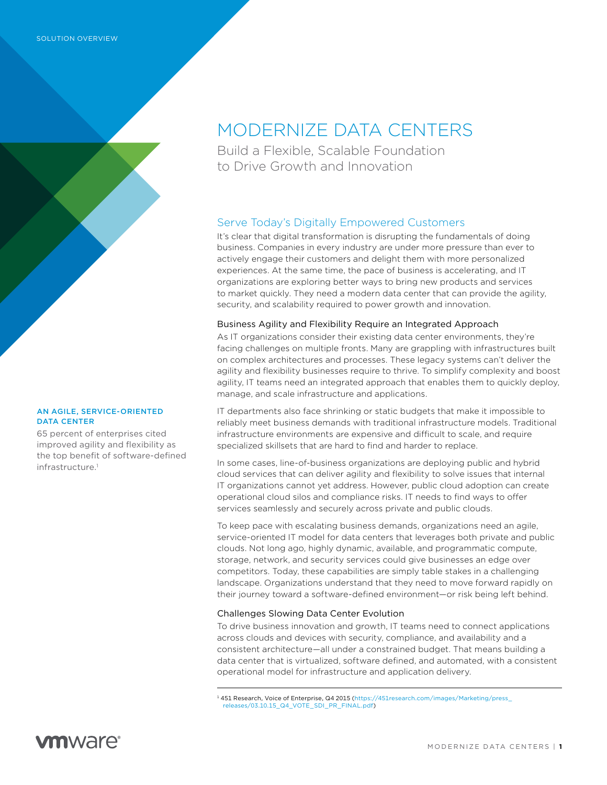

#### AN AGILE, SERVICE-ORIENTED DATA CENTER

65 percent of enterprises cited improved agility and flexibility as the top benefit of software-defined infrastructure<sup>1</sup>

# MODERNIZE DATA CENTERS

Build a Flexible, Scalable Foundation to Drive Growth and Innovation

## Serve Today's Digitally Empowered Customers

It's clear that digital transformation is disrupting the fundamentals of doing business. Companies in every industry are under more pressure than ever to actively engage their customers and delight them with more personalized experiences. At the same time, the pace of business is accelerating, and IT organizations are exploring better ways to bring new products and services to market quickly. They need a modern data center that can provide the agility, security, and scalability required to power growth and innovation.

#### Business Agility and Flexibility Require an Integrated Approach

As IT organizations consider their existing data center environments, they're facing challenges on multiple fronts. Many are grappling with infrastructures built on complex architectures and processes. These legacy systems can't deliver the agility and flexibility businesses require to thrive. To simplify complexity and boost agility, IT teams need an integrated approach that enables them to quickly deploy, manage, and scale infrastructure and applications.

IT departments also face shrinking or static budgets that make it impossible to reliably meet business demands with traditional infrastructure models. Traditional infrastructure environments are expensive and difficult to scale, and require specialized skillsets that are hard to find and harder to replace.

In some cases, line-of-business organizations are deploying public and hybrid cloud services that can deliver agility and flexibility to solve issues that internal IT organizations cannot yet address. However, public cloud adoption can create operational cloud silos and compliance risks. IT needs to find ways to offer services seamlessly and securely across private and public clouds.

To keep pace with escalating business demands, organizations need an agile, service-oriented IT model for data centers that leverages both private and public clouds. Not long ago, highly dynamic, available, and programmatic compute, storage, network, and security services could give businesses an edge over competitors. Today, these capabilities are simply table stakes in a challenging landscape. Organizations understand that they need to move forward rapidly on their journey toward a software-defined environment—or risk being left behind.

#### Challenges Slowing Data Center Evolution

To drive business innovation and growth, IT teams need to connect applications across clouds and devices with security, compliance, and availability and a consistent architecture—all under a constrained budget. That means building a data center that is virtualized, software defined, and automated, with a consistent operational model for infrastructure and application delivery.

<sup>1 451</sup> Research, Voice of Enterprise, Q4 2015 ([https://451research.com/images/Marketing/press\\_](  451 Research, Voice of Enterprise, Q4 2015 (https://451research.com/images/Marketing/press_releases/03.10.15_Q4_VOTE_SDI_PR_FINAL.pdf)) [releases/03.10.15\\_Q4\\_VOTE\\_SDI\\_PR\\_FINAL.pdf\)](  451 Research, Voice of Enterprise, Q4 2015 (https://451research.com/images/Marketing/press_releases/03.10.15_Q4_VOTE_SDI_PR_FINAL.pdf))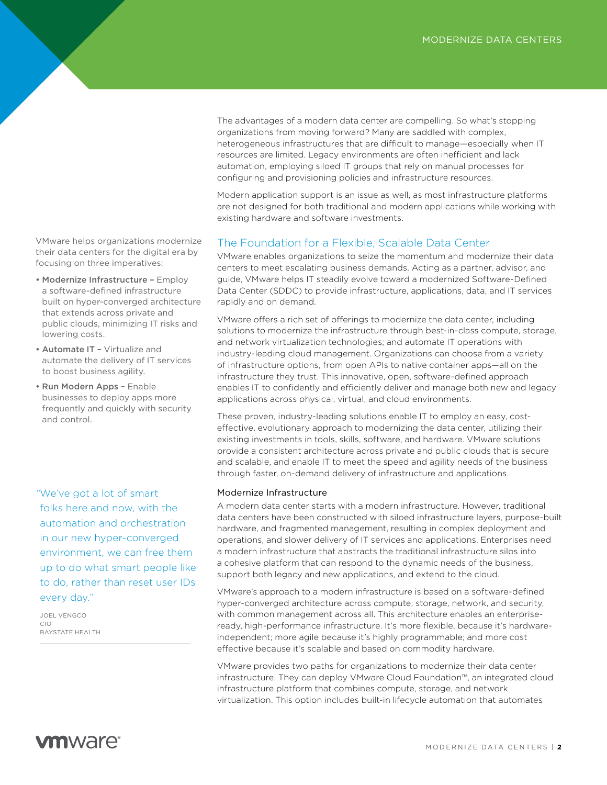The advantages of a modern data center are compelling. So what's stopping organizations from moving forward? Many are saddled with complex, heterogeneous infrastructures that are difficult to manage—especially when IT resources are limited. Legacy environments are often inefficient and lack automation, employing siloed IT groups that rely on manual processes for configuring and provisioning policies and infrastructure resources.

Modern application support is an issue as well, as most infrastructure platforms are not designed for both traditional and modern applications while working with existing hardware and software investments.

### The Foundation for a Flexible, Scalable Data Center

VMware enables organizations to seize the momentum and modernize their data centers to meet escalating business demands. Acting as a partner, advisor, and guide, VMware helps IT steadily evolve toward a modernized Software-Defined Data Center (SDDC) to provide infrastructure, applications, data, and IT services rapidly and on demand.

VMware offers a rich set of offerings to modernize the data center, including solutions to modernize the infrastructure through best-in-class compute, storage, and network virtualization technologies; and automate IT operations with industry-leading cloud management. Organizations can choose from a variety of infrastructure options, from open APIs to native container apps—all on the infrastructure they trust. This innovative, open, software-defined approach enables IT to confidently and efficiently deliver and manage both new and legacy applications across physical, virtual, and cloud environments.

These proven, industry-leading solutions enable IT to employ an easy, costeffective, evolutionary approach to modernizing the data center, utilizing their existing investments in tools, skills, software, and hardware. VMware solutions provide a consistent architecture across private and public clouds that is secure and scalable, and enable IT to meet the speed and agility needs of the business through faster, on-demand delivery of infrastructure and applications.

#### Modernize Infrastructure

A modern data center starts with a modern infrastructure. However, traditional data centers have been constructed with siloed infrastructure layers, purpose-built hardware, and fragmented management, resulting in complex deployment and operations, and slower delivery of IT services and applications. Enterprises need a modern infrastructure that abstracts the traditional infrastructure silos into a cohesive platform that can respond to the dynamic needs of the business, support both legacy and new applications, and extend to the cloud.

VMware's approach to a modern infrastructure is based on a software-defined hyper-converged architecture across compute, storage, network, and security, with common management across all. This architecture enables an enterpriseready, high-performance infrastructure. It's more flexible, because it's hardwareindependent; more agile because it's highly programmable; and more cost effective because it's scalable and based on commodity hardware.

VMware provides two paths for organizations to modernize their data center infrastructure. They can deploy VMware Cloud Foundation™, an integrated cloud infrastructure platform that combines compute, storage, and network virtualization. This option includes built-in lifecycle automation that automates

VMware helps organizations modernize their data centers for the digital era by focusing on three imperatives:

- Modernize Infrastructure Employ a software-defined infrastructure built on hyper-converged architecture that extends across private and public clouds, minimizing IT risks and lowering costs.
- Automate IT Virtualize and automate the delivery of IT services to boost business agility.
- Run Modern Apps Enable businesses to deploy apps more frequently and quickly with security and control.

*"*We've got a lot of smart folks here and now, with the automation and orchestration in our new hyper-converged environment, we can free them up to do what smart people like to do, rather than reset user IDs every day."

JOEL VENGCO CIO BAYSTATE HEALTH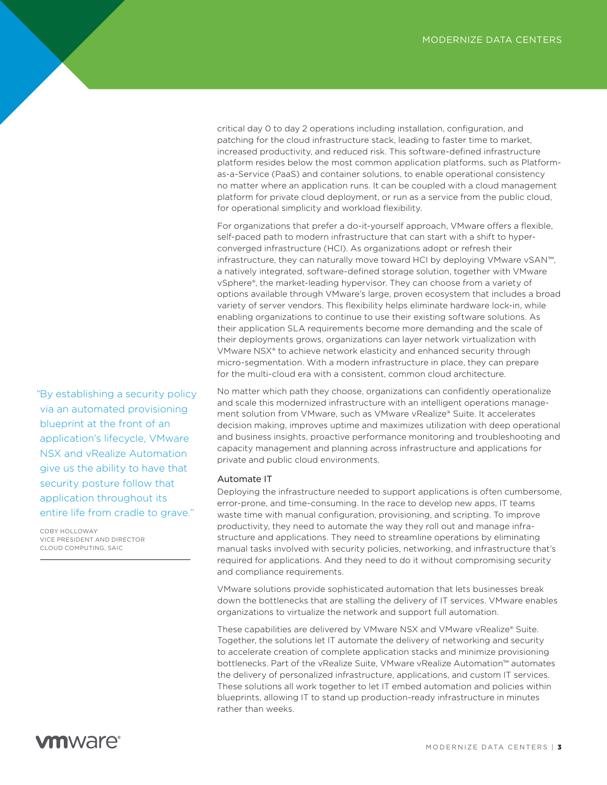critical day 0 to day 2 operations including installation, configuration, and patching for the cloud infrastructure stack, leading to faster time to market, increased productivity, and reduced risk. This software-defined infrastructure platform resides below the most common application platforms, such as Platformas-a-Service (PaaS) and container solutions, to enable operational consistency no matter where an application runs. It can be coupled with a cloud management platform for private cloud deployment, or run as a service from the public cloud, for operational simplicity and workload flexibility.

For organizations that prefer a do-it-yourself approach, VMware offers a flexible, self-paced path to modern infrastructure that can start with a shift to hyperconverged infrastructure (HCI). As organizations adopt or refresh their infrastructure, they can naturally move toward HCI by deploying VMware vSAN™, a natively integrated, software-defined storage solution, together with VMware vSphere®, the market-leading hypervisor. They can choose from a variety of options available through VMware's large, proven ecosystem that includes a broad variety of server vendors. This flexibility helps eliminate hardware lock-in, while enabling organizations to continue to use their existing software solutions. As their application SLA requirements become more demanding and the scale of their deployments grows, organizations can layer network virtualization with VMware NSX® to achieve network elasticity and enhanced security through micro-segmentation. With a modern infrastructure in place, they can prepare for the multi-cloud era with a consistent, common cloud architecture.

No matter which path they choose, organizations can confidently operationalize and scale this modernized infrastructure with an intelligent operations management solution from VMware, such as VMware vRealize® Suite. It accelerates decision making, improves uptime and maximizes utilization with deep operational and business insights, proactive performance monitoring and troubleshooting and capacity management and planning across infrastructure and applications for private and public cloud environments.

#### Automate IT

Deploying the infrastructure needed to support applications is often cumbersome, error-prone, and time-consuming. In the race to develop new apps, IT teams waste time with manual configuration, provisioning, and scripting. To improve productivity, they need to automate the way they roll out and manage infrastructure and applications. They need to streamline operations by eliminating manual tasks involved with security policies, networking, and infrastructure that's required for applications. And they need to do it without compromising security and compliance requirements.

VMware solutions provide sophisticated automation that lets businesses break down the bottlenecks that are stalling the delivery of IT services. VMware enables organizations to virtualize the network and support full automation.

These capabilities are delivered by VMware NSX and VMware vRealize® Suite. Together, the solutions let IT automate the delivery of networking and security to accelerate creation of complete application stacks and minimize provisioning bottlenecks. Part of the vRealize Suite, VMware vRealize Automation™ automates the delivery of personalized infrastructure, applications, and custom IT services. These solutions all work together to let IT embed automation and policies within blueprints, allowing IT to stand up production-ready infrastructure in minutes rather than weeks.

*"*By establishing a security policy via an automated provisioning blueprint at the front of an application's lifecycle, VMware NSX and vRealize Automation give us the ability to have that security posture follow that application throughout its entire life from cradle to grave."

COBY HOLLOWAY VICE PRESIDENT AND DIRECTOR CLOUD COMPUTING, SAIC